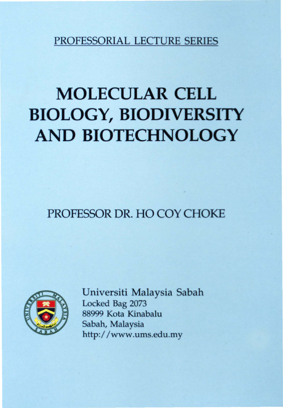PROFESSORIAL LECTURE SERIES

# **MOLECULAR CELL BIOLOGY, BIODIVERSITY AND BIOTECHNOLOGY**

PROFESSOR DR. HO COY CHOKE



Universiti Malaysia Sabah Locked Bag 2073 88999 Kota Kinabalu Sabah, Malaysia http://www.ums.edu.my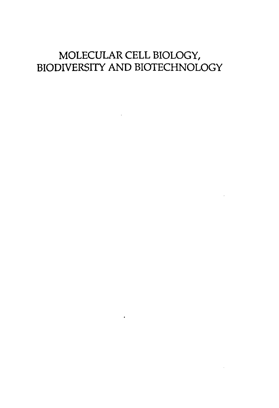## MOLECULAR CELL BIOLOGY, BIODIVERSITY AND BIOTECHNOLOGY

 $\sim$   $\sim$ 

 $\mathcal{L}_{\text{max}}$  and  $\mathcal{L}_{\text{max}}$  . The set of  $\mathcal{L}_{\text{max}}$ 

 $\bullet$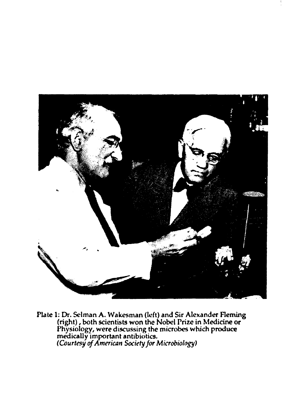

Plate 1: Dr. Selman A. Wakesman (left) and Sir Alexander Fleming (right) , both scientists won the Nobel Prize in Medicine or Physiology, were discussing the microbes which produce medically important antibiotics. *(Courtesy* of *AmeriCJIn Society for Microbiology)*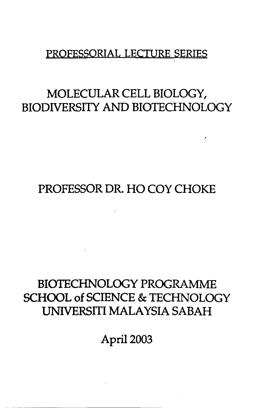#### PROFESSORIAL LECTURE SERIES

## MOLECULAR CELL BIOLOGY, BIODNERSITY AND BIOTECHNOLOGY

# PROFESSOR DR. HO COY CHOKE

# BIOTECHNOLOGY PROGRAMME SCHOOL of SCIENCE & TECHNOLOGY UNIVERSITI MALAYSIA SABAH

April 2003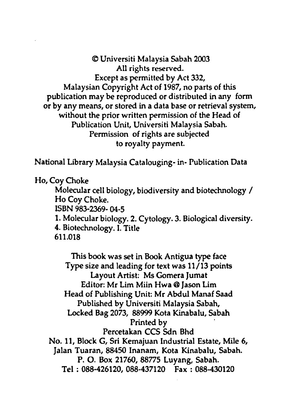© Universiti Malaysia Sabah 2003 All rights reserved. Except as permitted by Act 332, Malaysian Copyright Act of 1987, no parts of this publication may be reproduced or distributed in any form or by any means, or stored in a data base or retrieval system, without the prior written permission of the Head of Publication Unit, Universiti Malaysia Sabah. Permission of rights are subjected to royalty payment.

National Library Malaysia Catalouging- in- Publication Data

Ho, Coy Choke

Molecular cell biology, biodiversity and biotechnology / Ho Coy Choke.

ISBN 983-2369- 04-5

1. Molecular biology. 2. Cytology. 3. Biological diversity. 4. Biotechnology. I. Title

611.018

This book was set in Book Antigua type face Type size and leading for text was 11/13 points Layout Artist: Ms Gomera Jumat Editor: Mr Lim Miin Hwa @ Jason Lim Head of Publishing Unit: Mr Abdul Manaf Saad Published by Universiti Malaysia Sabah, Locked Bag 2073, 88999 Kota Kinabalu, Sabah Printed by . Percetakan CCS Sdn Bhd No. 11, Block G, Sri Kemajuan Industrial Estate, Mile 6, Jalan Tuaran, 88450 Inanam, Kota Kinabalu, Sabah. P. O. Box 21760, 88775 Luyang, Sabah. Tel: 088-426120, 088-437120 Fax: 088-430120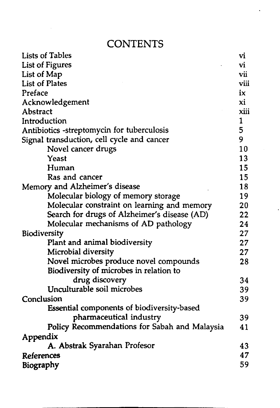#### **CONTENTS**

| <b>Lists of Tables</b>                                                                                                                                                                                                                                                                                                                                                                                                                                                                                                                                                                                                                                                                                                                                                 | vi           |  |  |  |
|------------------------------------------------------------------------------------------------------------------------------------------------------------------------------------------------------------------------------------------------------------------------------------------------------------------------------------------------------------------------------------------------------------------------------------------------------------------------------------------------------------------------------------------------------------------------------------------------------------------------------------------------------------------------------------------------------------------------------------------------------------------------|--------------|--|--|--|
|                                                                                                                                                                                                                                                                                                                                                                                                                                                                                                                                                                                                                                                                                                                                                                        |              |  |  |  |
|                                                                                                                                                                                                                                                                                                                                                                                                                                                                                                                                                                                                                                                                                                                                                                        |              |  |  |  |
|                                                                                                                                                                                                                                                                                                                                                                                                                                                                                                                                                                                                                                                                                                                                                                        |              |  |  |  |
|                                                                                                                                                                                                                                                                                                                                                                                                                                                                                                                                                                                                                                                                                                                                                                        |              |  |  |  |
|                                                                                                                                                                                                                                                                                                                                                                                                                                                                                                                                                                                                                                                                                                                                                                        |              |  |  |  |
| Abstract                                                                                                                                                                                                                                                                                                                                                                                                                                                                                                                                                                                                                                                                                                                                                               | xiii         |  |  |  |
| Introduction                                                                                                                                                                                                                                                                                                                                                                                                                                                                                                                                                                                                                                                                                                                                                           | $\mathbf{1}$ |  |  |  |
|                                                                                                                                                                                                                                                                                                                                                                                                                                                                                                                                                                                                                                                                                                                                                                        | 5            |  |  |  |
| <b>List of Figures</b><br>List of Map<br><b>List of Plates</b><br>Preface<br>Acknowledgement<br>Antibiotics -streptomycin for tuberculosis<br>Signal transduction, cell cycle and cancer<br>Novel cancer drugs<br>Yeast<br>Human<br>Ras and cancer<br>Memory and Alzheimer's disease<br>Molecular biology of memory storage<br>Molecular constraint on learning and memory<br>Search for drugs of Alzheimer's disease (AD)<br>Molecular mechanisms of AD pathology<br>Biodiversity<br>Plant and animal biodiversity<br>Microbial diversity<br>Novel microbes produce novel compounds<br>Biodiversity of microbes in relation to<br>drug discovery<br>Unculturable soil microbes<br>Conclusion<br>Essential components of biodiversity-based<br>pharmaceutical industry |              |  |  |  |
|                                                                                                                                                                                                                                                                                                                                                                                                                                                                                                                                                                                                                                                                                                                                                                        | 10           |  |  |  |
|                                                                                                                                                                                                                                                                                                                                                                                                                                                                                                                                                                                                                                                                                                                                                                        | 13           |  |  |  |
|                                                                                                                                                                                                                                                                                                                                                                                                                                                                                                                                                                                                                                                                                                                                                                        | 15           |  |  |  |
|                                                                                                                                                                                                                                                                                                                                                                                                                                                                                                                                                                                                                                                                                                                                                                        | 15           |  |  |  |
|                                                                                                                                                                                                                                                                                                                                                                                                                                                                                                                                                                                                                                                                                                                                                                        |              |  |  |  |
|                                                                                                                                                                                                                                                                                                                                                                                                                                                                                                                                                                                                                                                                                                                                                                        | 19           |  |  |  |
|                                                                                                                                                                                                                                                                                                                                                                                                                                                                                                                                                                                                                                                                                                                                                                        | 20           |  |  |  |
|                                                                                                                                                                                                                                                                                                                                                                                                                                                                                                                                                                                                                                                                                                                                                                        | 22           |  |  |  |
|                                                                                                                                                                                                                                                                                                                                                                                                                                                                                                                                                                                                                                                                                                                                                                        | 24           |  |  |  |
|                                                                                                                                                                                                                                                                                                                                                                                                                                                                                                                                                                                                                                                                                                                                                                        | 27           |  |  |  |
|                                                                                                                                                                                                                                                                                                                                                                                                                                                                                                                                                                                                                                                                                                                                                                        | 27           |  |  |  |
|                                                                                                                                                                                                                                                                                                                                                                                                                                                                                                                                                                                                                                                                                                                                                                        | 27           |  |  |  |
|                                                                                                                                                                                                                                                                                                                                                                                                                                                                                                                                                                                                                                                                                                                                                                        | 28           |  |  |  |
|                                                                                                                                                                                                                                                                                                                                                                                                                                                                                                                                                                                                                                                                                                                                                                        |              |  |  |  |
|                                                                                                                                                                                                                                                                                                                                                                                                                                                                                                                                                                                                                                                                                                                                                                        | 34           |  |  |  |
|                                                                                                                                                                                                                                                                                                                                                                                                                                                                                                                                                                                                                                                                                                                                                                        | 39           |  |  |  |
|                                                                                                                                                                                                                                                                                                                                                                                                                                                                                                                                                                                                                                                                                                                                                                        | 39           |  |  |  |
|                                                                                                                                                                                                                                                                                                                                                                                                                                                                                                                                                                                                                                                                                                                                                                        |              |  |  |  |
|                                                                                                                                                                                                                                                                                                                                                                                                                                                                                                                                                                                                                                                                                                                                                                        | 39           |  |  |  |
| Policy Recommendations for Sabah and Malaysia                                                                                                                                                                                                                                                                                                                                                                                                                                                                                                                                                                                                                                                                                                                          | 41           |  |  |  |
| Appendix                                                                                                                                                                                                                                                                                                                                                                                                                                                                                                                                                                                                                                                                                                                                                               |              |  |  |  |
| A. Abstrak Syarahan Profesor                                                                                                                                                                                                                                                                                                                                                                                                                                                                                                                                                                                                                                                                                                                                           | 43           |  |  |  |
| References                                                                                                                                                                                                                                                                                                                                                                                                                                                                                                                                                                                                                                                                                                                                                             | 47           |  |  |  |
| Biography                                                                                                                                                                                                                                                                                                                                                                                                                                                                                                                                                                                                                                                                                                                                                              |              |  |  |  |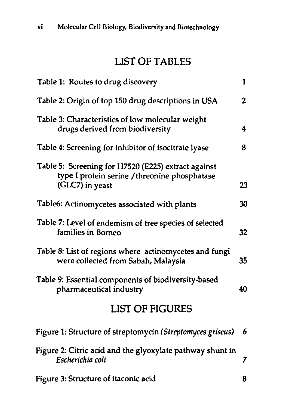#### LIST OF TABLES

| Table 1: Routes to drug discovery                                                                                       | $\mathbf{1}$   |
|-------------------------------------------------------------------------------------------------------------------------|----------------|
| Table 2: Origin of top 150 drug descriptions in USA                                                                     | $\overline{2}$ |
| Table 3: Characteristics of low molecular weight<br>drugs derived from biodiversity                                     | 4              |
| Table 4: Screening for inhibitor of isocitrate lyase                                                                    | 8              |
| Table 5: Screening for H7520 (E225) extract against<br>type I protein serine / threonine phosphatase<br>(GLC7) in yeast | 23             |
| Table6: Actinomycetes associated with plants                                                                            | 30             |
| Table 7: Level of endemism of tree species of selected<br>families in Borneo                                            | 32             |
| Table 8: List of regions where actinomycetes and fungi<br>were collected from Sabah, Malaysia                           | 35             |
| Table 9: Essential components of biodiversity-based<br>pharmaceutical industry                                          | 40             |
| <b>LIST OF FIGURES</b>                                                                                                  |                |
| Figure 1: Structure of streptomycin (Streptomyces griseus)                                                              | 6              |
| Figure 2: Citric acid and the glyoxylate pathway shunt in<br>Escherichia coli                                           | 7              |

Figure 3: Structure of itaconic acid 8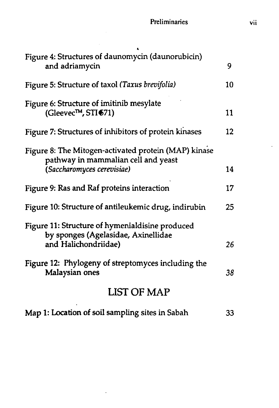| Figure 4: Structures of daunomycin (daunorubicin)<br>and adriamycin                                                       | 9.      |
|---------------------------------------------------------------------------------------------------------------------------|---------|
| Figure 5: Structure of taxol (Taxus brevifolia)                                                                           | 10      |
| Figure 6: Structure of imitinib mesylate<br>(Gleevec <sup>TM</sup> , STI <sup>671</sup> )                                 | 11      |
| Figure 7: Structures of inhibitors of protein kinases                                                                     | $12 \,$ |
| Figure 8: The Mitogen-activated protein (MAP) kinase<br>pathway in mammalian cell and yeast<br>(Saccharomyces cerevisiae) | 14      |
| Figure 9: Ras and Raf proteins interaction                                                                                | 17      |
| Figure 10: Structure of antileukemic drug, indirubin                                                                      | 25      |
| Figure 11: Structure of hymenialdisine produced<br>by sponges (Agelasidae, Axinellidae<br>and Halichondriidae)            | 26      |
| Figure 12: Phylogeny of streptomyces including the<br>Malaysian ones                                                      | 38      |
| LIST OF MAP                                                                                                               |         |

|  |  |  |  | Map 1: Location of soil sampling sites in Sabah |  |  | 33 |
|--|--|--|--|-------------------------------------------------|--|--|----|
|--|--|--|--|-------------------------------------------------|--|--|----|

 $\ddot{\phantom{a}}$ 

 $\sim 10^{-1}$ 

 $\ddot{\phantom{a}}$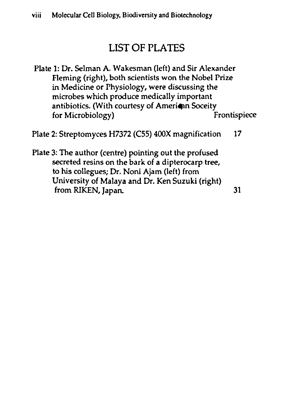## LIST OF PLATES

Plate 1: Dr. Selman A. Wakesman (left) and Sir Alexander Fleming (right), both scientists won the Nobel Prize in Medicine or Physiology, were discussing the microbes which produce medically important antibiotics. (With courtesy of Amerian Soceity<br>for Microbiology) Frontispiece for Microbiology)

Plate 2: Streptomyces H7372 (C55) 400X magnification 17

Plate 3: The author (centre) pointing out the profused secreted resins on the bark of a dipterocarp tree, to his collegues; Dr. Noni Ajam (left) from University of Malaya and Dr. Ken Suzuki (right) from RIKEN, Japan. 31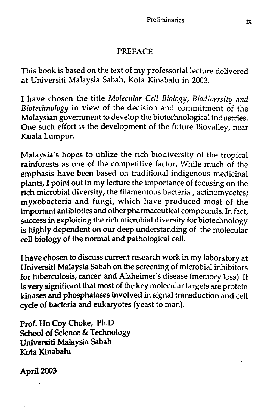#### PREFACE

This book is based on the text of my professorial lecture delivered at Universiti Malaysia Sabah, Kota Kinabalu in 2003.

I have chosen the title *Molecular Cell Biology, Biodiversity and Biotechnology* in view of the decision and commitment of the Malaysian government to develop the biotechnological industries. One such effort is the development of the future Biovalley, near Kuala Lumpur.

Malaysia's hopes to utilize the rich biodiversity of the tropical rainforests as one of the competitive factor. While much of the emphasis have been based on traditional indigenous medicinal plants, I point out in my lecture the importance of focusing on the rich microbial diversity, the filamentous bacteria, actinomycetes; myxobacteria and fungi, which have produced most of the important antibiotics and other pharmaceutical compounds. In fact, success in exploiting the rich microbial diversity for biotechnology is highly dependent on our deep understanding of the molecular cell biology of the normal and pathological cell.

I have chosen to discuss current research work in my laboratory at Universiti Malaysia Sabah on the screening of microbial inhibitors for tuberculosis, cancer and Alzheimer's disease (memory loss). It is very significant that most of the key molecular targets are protein kinases and phosphatases involved in signal transduction and cell cycle of bacteria and eukaryotes (yeast to man).

Prof. Ho Coy Choke, Ph.D School of Science & Technology Universiti Malaysia Sabah Kota Kinabalu

Apri12003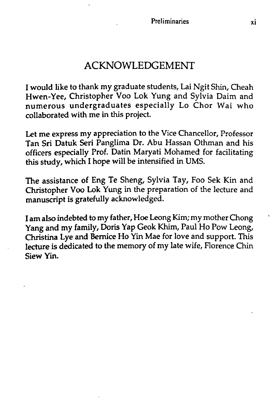I would like to thank my graduate students, Lai Ngit Shin, Cheah Hwen-Yee, Christopher Voo Lok Yung and Sylvia Daim and numerous undergraduates especially Lo Chor Wai who collaborated with me in this project.

Let me express my appreciation to the Vice Chancellor, Professor Tan Sri Datuk Seri Panglima Dr. Abu Hassan Othman and his officers especially Prof. Datin Maryati Mohamed for facilitating this study, which I hope will be intensified in VMS.

The assistance of Eng Te Sheng, Sylvia Tay, Foo Sek Kin and Christopher Voo Lok Yung in the preparation of the lecture and manuscript is gratefully acknowledged.

I am also indebted to my father, Hoe Leong Kim; my mother Chong Yang and my family, Doris Yap Geok Khim, Paul Ho Pow Leong, Christina Lye and Bernice Ho Yin Mae for love and support. This lecture is dedicated to the memory of my late wife, Florence Chin Siew Yin.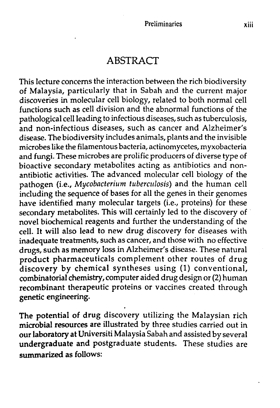#### ABSTRACT

This lecture concerns the interaction between the rich biodiversity of Malaysia, particularly that in Sabah and the current major discoveries in molecular cell biology, related to both normal cell functions such as cell division and the abnormal functions of the pathological cell leading to infectious diseases, such as tuberculosis, and non-infectious diseases, such as cancer and Alzheimer's disease. The biodiversity includes animals, plants and the invisible microbes like the filamentous bacteria, actinomycetes, myxobacteria and fungi. These microbes are prolific producers of diverse type of bioactive secondary metabolites acting as antibiotics and nonantibiotic activities. The advanced molecular cell biology of the pathogen (i.e., *Mycobacterium tuberculosis)* and the human cell including the sequence of bases for all the genes in their genomes have identified many molecular targets (i.e., proteins) for these secondary metabolites. This will certainly led to the discovery of novel biochemical reagents and further the understanding of the cell. It will also lead to new drug discovery for diseases with inadequate treatments, such as cancer, and those with no effective drugs, such as memory loss in Alzheimer's disease. These natural product pharmaceuticals complement other routes of drug discovery by chemical syntheses using (1) conventional, combinatorial chemistry, computer aided drug design or (2) human recombinant therapeutic proteins or vaccines created through genetic engineering.

The potential of drug discovery utilizing the Malaysian rich microbial resources are illustrated by three studies carried out in our laboratory at Universiti Malaysia Sabah and assisted by several undergraduate and postgraduate students. These studies are summarized as follows: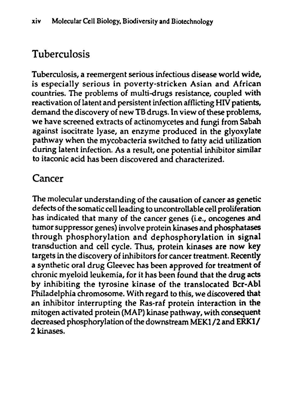## Tuberculosis

Tuberculosis, a reemergent serious infectious disease world wide, is especially serious in poverty-stricken Asian and African countries. The problems of multi-drugs resistance, coupled with reactivation of latent and persistent infection afflicting HIV patients, demand the discovery of new TB drugs. In view of these problems, we have screened extracts of actinomycetes and fungi from Sabah against isocitrate lyase, an enzyme produced in the glyoxylate pathway when the mycobacteria switched to fatty acid utilization during latent infection. As a result, one potential inhibitor similar to itaconic acid has been discovered and characterized.

## Cancer

The molecular understanding of the causation of cancer as genetic defects of the somatic cell leading to uncontrollable cell proliferation has indicated that many of the cancer genes (i.e., oncogenes and tumor suppressor genes) involve protein kinases and phosphatases through phosphorylation and dephosphorylation in signal transduction and cell cycle. Thus, protein kinases are now key targets in the discovery of inhibitors for cancer treatment. Recently a synthetic oral drug Gleevec has been approved for treatment of chronic myeloid leukemia, for it has been found that the drug acts by inhibiting the tyrosine kinase of the translocated Bcr-Abl Philadelphia chromosome. With regard to this, we discovered that an inhibitor interrupting the Ras-raf protein interaction in the mitogen activated protein (MAP) kinase pathway, with consequent decreased phosphorylation of the downstream MEKI /2 and ERKI/ 2 kinases.